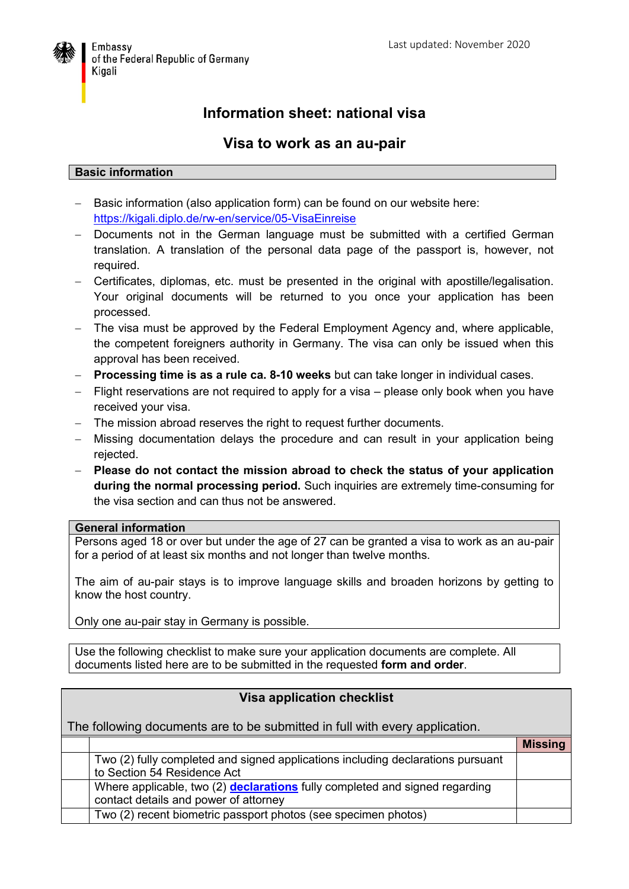

# **Information sheet: national visa**

# **Visa to work as an au-pair**

#### **Basic information**

- Basic information (also application form) can be found on our website here: <https://kigali.diplo.de/rw-en/service/05-VisaEinreise>
- Documents not in the German language must be submitted with a certified German translation. A translation of the personal data page of the passport is, however, not required.
- Certificates, diplomas, etc. must be presented in the original with apostille/legalisation. Your original documents will be returned to you once your application has been processed.
- The visa must be approved by the Federal Employment Agency and, where applicable, the competent foreigners authority in Germany. The visa can only be issued when this approval has been received.
- **Processing time is as a rule ca. 8-10 weeks** but can take longer in individual cases.
- $-$  Flight reservations are not required to apply for a visa  $-$  please only book when you have received your visa.
- The mission abroad reserves the right to request further documents.
- Missing documentation delays the procedure and can result in your application being rejected.
- **Please do not contact the mission abroad to check the status of your application during the normal processing period.** Such inquiries are extremely time-consuming for the visa section and can thus not be answered.

## **General information**

Persons aged 18 or over but under the age of 27 can be granted a visa to work as an au-pair for a period of at least six months and not longer than twelve months.

The aim of au-pair stays is to improve language skills and broaden horizons by getting to know the host country.

Only one au-pair stay in Germany is possible.

Use the following checklist to make sure your application documents are complete. All documents listed here are to be submitted in the requested **form and order**.

## **Visa application checklist**

The following documents are to be submitted in full with every application.

|                                                                                 | <b>Missing</b> |
|---------------------------------------------------------------------------------|----------------|
| Two (2) fully completed and signed applications including declarations pursuant |                |
| to Section 54 Residence Act                                                     |                |
| Where applicable, two (2) declarations fully completed and signed regarding     |                |
| contact details and power of attorney                                           |                |
| Two (2) recent biometric passport photos (see specimen photos)                  |                |